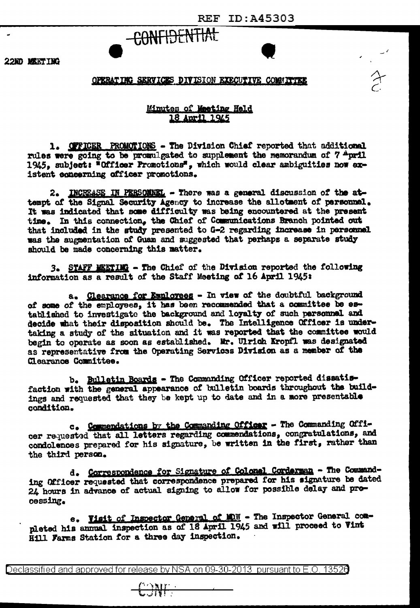$\rightarrow$ 



22ND MEETING

## OPERATING SERVICES DIVISION EXECUTIVE COMMITTEE

## Mimutes of Meeting Held 18 April 1945

1. OFFICER PROMOTIONS - The Division Chief reported that additional rules were going to be promulgated to supplement the memorandum of 7 April 1945. subject: "Officer Promotions", which would clear ambiguities now existent concerning officer promotions.

2. INCREASE IN PERSONNEL - There was a general discussion of the attempt of the Signal Security Agency to increase the allotment of personnel. It was indicated that some difficulty was being encountered at the present time. In this connection, the Chief of Communications Branch pointed out that included in the study presented to G-2 regarding increase in personnel was the augmentation of Guam and suggested that perhaps a separate study should be made concerning this matter.

3. STAFF MEETING - The Chief of the Division reported the following information as a result of the Staff Meeting of 16 April 1945:

a. Clearance for Employees - In view of the doubtful background of some of the employees, it has been recommended that a committee be established to investigate the background and loyalty of such personnel and decide what their disposition should be. The Intelligence Officer is undertaking a study of the situation and it was reported that the committee would begin to operate as soon as established. Mr. Ulrich Kropfl was designated as representative from the Operating Services Division as a member of the Clearance Committee.

b. Bulletin Boards - The Commanding Officer reported dissatisfaction with the general appearance of bulletin boards throughout the buildings and requested that they be kept up to date and in a more presentable condition.

c. Commendations by the Commanding Officer - The Commanding Officer requested that all letters regarding commendations, congratulations, and condolences prepared for his signature, be written in the first, rather than the third person.

d. Correspondence for Signature of Colonel Cordersen - The Commanding Officer requested that correspondence prepared for his signature be dated 24 hours in advance of actual signing to allow for possible delay and processing.

e. Visit of Inspector General of MDW - The Inspector General completed his annual inspection as of 18 April 1945 and will proceed to Vint Hill Farms Station for a three day inspection.

Declassified and approved for release by NSA on 09-30-2013 pursuant to E.O. 13520